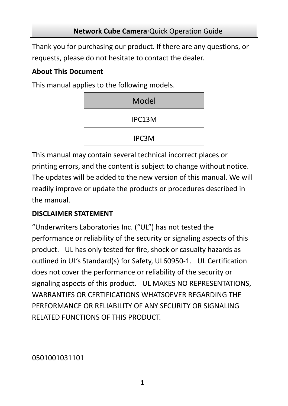Thank you for purchasing our product. If there are any questions, or requests, please do not hesitate to contact the dealer.

### **About This Document**

This manual applies to the following models.

| Model  |
|--------|
| IPC13M |
| IPC3M  |

This manual may contain several technical incorrect places or printing errors, and the content is subject to change without notice. The updates will be added to the new version of this manual. We will readily improve or update the products or procedures described in the manual.

# **DISCLAIMER STATEMENT**

"Underwriters Laboratories Inc. ("UL") has not tested the performance or reliability of the security or signaling aspects of this product. UL has only tested for fire, shock or casualty hazards as outlined in UL's Standard(s) for Safety, UL60950‐1. UL Certification does not cover the performance or reliability of the security or signaling aspects of this product. UL MAKES NO REPRESENTATIONS, WARRANTIES OR CERTIFICATIONS WHATSOEVER REGARDING THE PERFORMANCE OR RELIABILITY OF ANY SECURITY OR SIGNALING RELATED FUNCTIONS OF THIS PRODUCT.

# 0501001031101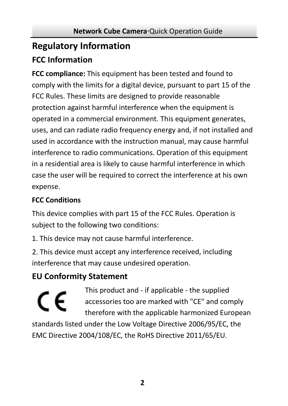# **Regulatory Information**

# **FCC Information**

FCC compliance: This equipment has been tested and found to comply with the limits for a digital device, pursuant to part 15 of the FCC Rules. These limits are designed to provide reasonable protection against harmful interference when the equipment is operated in a commercial environment. This equipment generates, uses, and can radiate radio frequency energy and, if not installed and used in accordance with the instruction manual, may cause harmful interference to radio communications. Operation of this equipment in a residential area is likely to cause harmful interference in which case the user will be required to correct the interference at his own expense.

# **FCC Conditions**

This device complies with part 15 of the FCC Rules. Operation is subject to the following two conditions:

1. This device may not cause harmful interference.

2. This device must accept any interference received, including interference that may cause undesired operation.

# **EU Conformity Statement**

This product and ‐ if applicable ‐ the supplied C E accessories too are marked with "CE" and comply therefore with the applicable harmonized European standards listed under the Low Voltage Directive 2006/95/EC, the C Directive 2004/108/EC, the RoHS Directive 2011/65/EU. EM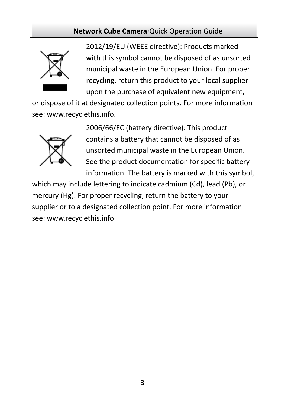

2012/19/EU (WEEE directive): Products marked with this symbol cannot be disposed of as unsorted municipal waste in the European Union. For proper recycling, return this product to your local supplier upon the purchase of equivalent new equipment,

or dispose of it at designated collection points. For more information see: www.recyclethis.info.



2006/66/EC (battery directive): This product contains a battery that cannot be disposed of as unsorted municipal waste in the European Union. See the product documentation for specific battery information. The battery is marked with this symbol,

which may include lettering to indicate cadmium (Cd), lead (Pb), or mercury (Hg). For proper recycling, return the battery to your supplier or to a designated collection point. For more information see: www.recyclethis.info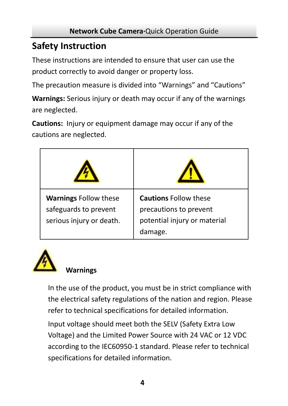# **Safety Instruction**

These instruction s are intended to ensure that user can use the product correctl y to avoid danger or property loss.

The precaution m easure is divided into "Warnings" and "Cautions"

**Warnings:** Serious injury or death may occur if any of the warnings are neglected.

**Cautions:** Injury or equipment damage may occur if any of the cautions are negl ected.

| <b>Warnings Follow these</b><br>safeguards to prevent<br>serious injury or death. | <b>Cautions Follow these</b><br>precautions to prevent<br>potential injury or material<br>damage. |
|-----------------------------------------------------------------------------------|---------------------------------------------------------------------------------------------------|



## **Warnings**

 In the use of the product, you must be in strict compliance with the electrical safety regulations of the nation and region. Please refer to technical specifications for detailed information.

 Input voltage should meet both the SELV (Safety Extra Low Voltage) and the Limited Power Source with 24 VAC or 12 VDC according to the IEC60950‐1 standard. Please refer to technical specifications for detailed information.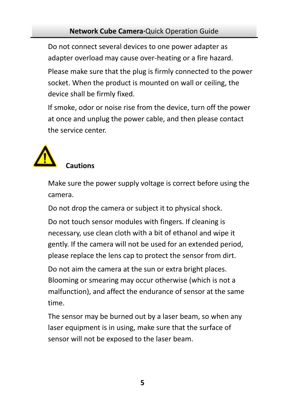Do not connect several devices to one power adapter as Please make sure that the plug is firmly connected to the power adapter overload may cause over‐heating or a fire hazard. socket. When the product is mounted on wall or ceiling, the device shall be firmly fixed.

If smoke, odor or noise rise from the device, turn off the power at once and unplug the power cable, and then please contact the service center.



## **Cautions**

Make sure the power supply voltage is correct before using the camera.

Do not drop the camera or subject it to physical shock.

Do not touch sensor modules with fingers. If cleaning is necessary, use clean cloth with a bit of ethanol and wipe it gently. If the camera will not be used for an extended period, please replace the lens cap to protect the sensor from dirt.

Do not aim the camera at the sun or extra bright places. Blooming or smearing may occur otherwise (which is not a malfunction), and affect the endurance of sensor at the same time.

The sensor may be burned out by a laser beam, so when any laser equipment is in using, make sure that the surface of sensor will not be exposed to the laser beam.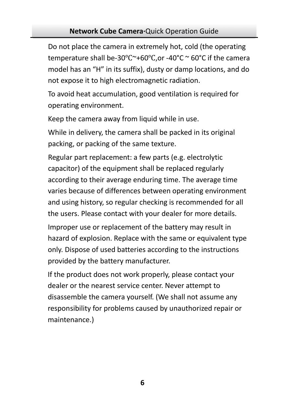Do not place the camera in extremely hot, cold (the operating temperature shall be-30°C~+60°C,or -40°C ~ 60°C if the camera model has an "H" in its suffix), dusty or damp locations, and do not expose it to high electromagnetic radiation.

To avoid heat accumulation, good ventilation is required for operating environment.

Keep the camera away from liquid while in use.

While in delivery, the camera shall be packed in its original packing, or packing of the same texture.

Regular part replacement: a few parts (e.g. electrolytic capacitor) of the equipment shall be replaced regularly and using history, so regular checking is recommended for all the users. Please contact with your dealer for more details. according to their average enduring time. The average time varies because of differences between operating environment Improper use or replacement of the battery may result in hazard of explosion. Replace with the same or equivalent type only. Dispose of used batteries according to the instructions provided by the battery manufacturer.

responsibility for problems caused by unauthorized repair or If the product does not work properly, please contact your dealer or the nearest service center. Never attempt to disassemble the camera yourself. (We shall not assume any maintenance.)

**6**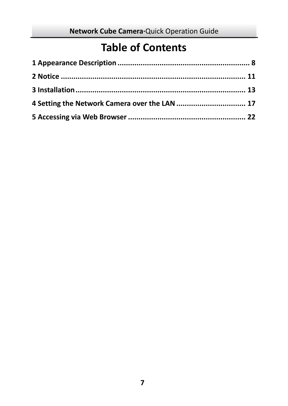# **Table of Contents**

| 4 Setting the Network Camera over the LAN  17 |  |
|-----------------------------------------------|--|
|                                               |  |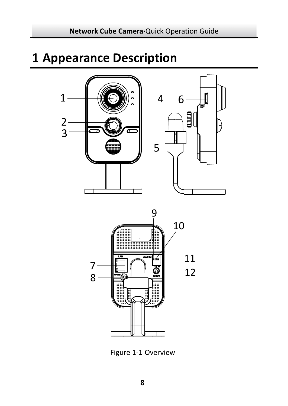# <span id="page-7-0"></span>**[Appearance](#page-7-0) Description**





Figure 1‐1 Overview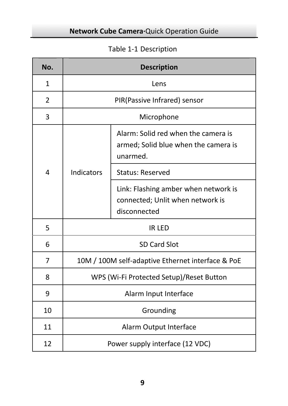# Table 1‐1 Description

| No.          | <b>Description</b>                                |                                                                                          |  |  |  |
|--------------|---------------------------------------------------|------------------------------------------------------------------------------------------|--|--|--|
| $\mathbf{1}$ | Lens                                              |                                                                                          |  |  |  |
| 2            |                                                   | PIR(Passive Infrared) sensor                                                             |  |  |  |
| 3            |                                                   | Microphone                                                                               |  |  |  |
|              |                                                   | Alarm: Solid red when the camera is<br>armed; Solid blue when the camera is<br>unarmed.  |  |  |  |
| 4            | Indicators                                        | <b>Status: Reserved</b>                                                                  |  |  |  |
|              |                                                   | Link: Flashing amber when network is<br>connected; Unlit when network is<br>disconnected |  |  |  |
| 5            | <b>IR LED</b>                                     |                                                                                          |  |  |  |
| 6            | SD Card Slot                                      |                                                                                          |  |  |  |
| 7            | 10M / 100M self-adaptive Ethernet interface & PoE |                                                                                          |  |  |  |
| 8            | WPS (Wi-Fi Protected Setup)/Reset Button          |                                                                                          |  |  |  |
| 9            | Alarm Input Interface                             |                                                                                          |  |  |  |
| 10           | Grounding                                         |                                                                                          |  |  |  |
| 11           | Alarm Output Interface                            |                                                                                          |  |  |  |
| 12           | Power supply interface (12 VDC)                   |                                                                                          |  |  |  |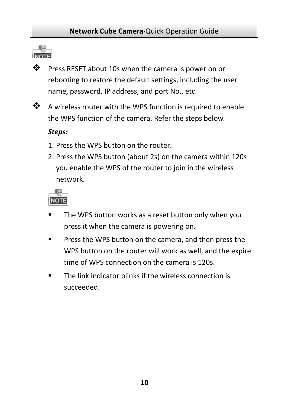

❖ Press RESET about 10s when the camera is power on or rebooting to restore the default settings, including the user name, password, IP address, and port No., etc.



❖ A wireless router with the WPS function is required to enable the WPS function of the camera. Refer the steps below.

#### *Steps:*

- 1. Press the WPS but ton on the router.
- 2. Press the WPS button (about 2s) on the camera within 120s you enable the WPS of the router to join in the wireless network.



- The WPS button works as a reset button only when you press it when the camera is powering on.
- **Press the WPS button on the camera, and then press the** WPS button on the router will work as well, and the expire time of WPS connection on the camera is 120s.
- **The link indicator blinks if the wireless connection is** succeeded.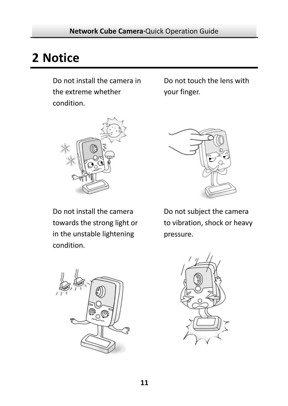# **2 Notice**

Do not install the camera in the extreme whether condition.

Do not touch the lens wi th your finger.



Do not install the camera towards the strong light or in the unstable lightening condition.



to vibration, shock or heavy Do not subject the camera pressure.



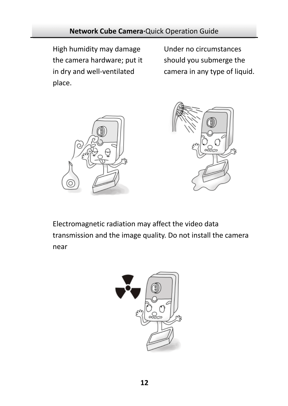High humidity may damage the camera hardware; put it in dry and well‐ventilated place.

Under no circumstances should you submerge the camera in any type of liquid.





transmission and the image quality. Do not install the camera Electromagnetic radiation m ay affect the video data near

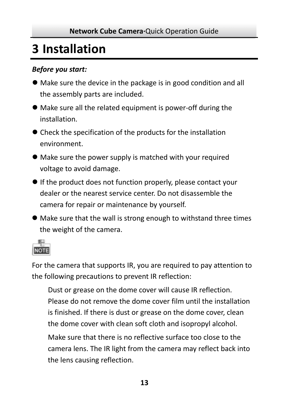# **3 Installation**

### *Before you start:*

- $\bullet$  Make sure the device in the package is in good condition and all the assembly parts are included.
- Make sure all the related equipment is power-off during the installation.
- Check the specification of the products for the installation environment.
- $\bullet$  Make sure the power supply is matched with your required voltage to avoid damage.
- $\bullet$  If the product does not function properly, please contact your dealer or the nearest service center. Do not disassemble the camera for repair or maintenance by yourself.
- $\bullet$  Make sure that the wall is strong enough to withstand three times the weight of the camera.



For the camera that supports IR, you are required to pay attention to the following precautions to prevent IR reflection:

 Dust or grease on the dome cover will cause IR reflection. Please do not remove the dome cover film until the installation is finished. If there is dust or grease on the dome cover, clean the dome cover with clean soft cloth and isopropyl alcohol.

 Make sure that there is no reflective surface too close to the camera lens. The IR light from the camera may reflect back into the lens causing reflection.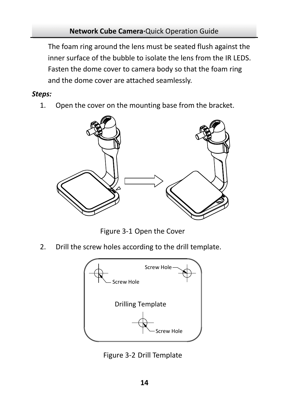The foam ring around the lens must be seated flush against the inner surface of the bubble to isolate the lens from the IR LEDS. Fasten the dome cover to camera body so that the foam ring and the dome cover are attached seamlessly.

### *Steps:*

1. Open the cover on the mounting base from the bracket.



Figure 3-1 Open the Cover

2. Drill the screw holes according to the drill template.



Figure 3‐2 Drill Template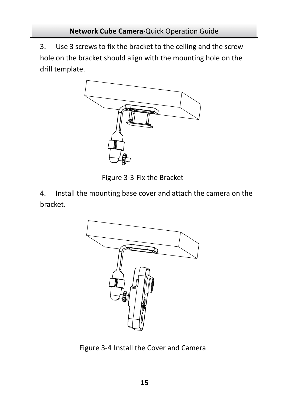3. Use 3 screws to fix the bracket to the ceiling and the screw hole on the bracket should align with the mounting hole on the drill template.



Figure 3‐3 Fix the Bracket

4. Install the mounting base cover and attach the camera on the bracket.



Figure 3‐4 Install the Cover and Camera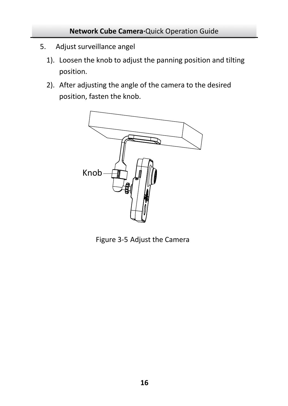- 5. Adjust surveillance angel
	- 1). Loosen the knob to adjust the panning position and tilting position.
	- 2). After adjusting the angle of the camera to the desired position, fasten the knob.



Figure 3‐5 Adjust the Camera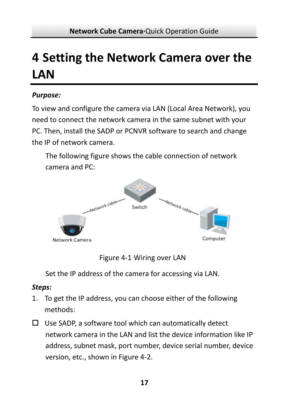# <span id="page-16-0"></span>**4 Setting the Network Camera over the LAN**

### *Purpose:*

To view and configure the camera via LAN (Local Area Network), you need to connect the network camera in the same subnet with your PC. Then, install the SADP or PCNVR software to search and change the IP of network camera.

The following figure shows the cable connection of network camera and PC:



Figure 4‐1 Wiring over LAN

Set the IP address of the camera for accessing via LAN.

## *Steps:*

- 1. To get the IP address, you can choose either of the following methods:
- $\Box$  Use SADP, a software tool which can automatically detect network camera in the LAN and list the device information like IP address, subnet mask, port number, device serial number, device version, etc., shown in Figure 4‐2.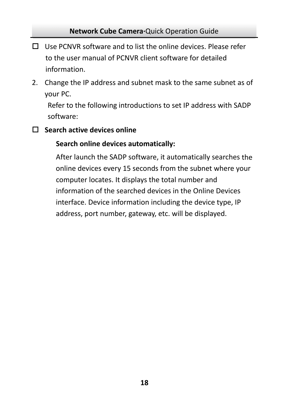- □ Use PCNVR software and to list the online devices. Please refer information. to the user manual of PCNVR client software for detailed
- 2. Change the IP address and subnet mask to the same subnet as of your PC.

Refer to the following introductions to set IP address with SADP software:

**Search active devices online**

#### **es automatically: Search online devic**

After launch the SADP software, it automatically searches the online devices every 15 seconds from the subnet where your computer locates. It displays the total number and information of the searched devices in the Online Devices interface. Device information including the device type, IP address, port number, gateway, etc. will be displayed.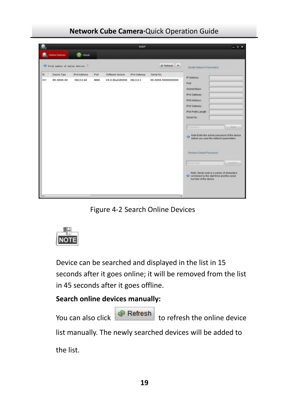|                                    |                 |      |                           | SADP         |                      |                                                                                                                     | $-0x$   |
|------------------------------------|-----------------|------|---------------------------|--------------|----------------------|---------------------------------------------------------------------------------------------------------------------|---------|
| Contine Devices                    | <b>OR</b> About |      |                           |              |                      |                                                                                                                     |         |
| C Total mater of caline devices: 1 |                 |      |                           |              | di Refresh 39        | <b>Modify Nebrork Parameters</b>                                                                                    |         |
| $D \neq$<br>Device Tipe            | Pvl Address     | Port | Software Version          | IPv4 Gateway | Serial No.           |                                                                                                                     |         |
| 001<br>DS-XXXX-XX                  | 192.0.0.64      | 8000 | VX.X.XbuildXXXX 192.0.0.1 |              | XX-30006-3000000000X | IP Address:<br>Port                                                                                                 |         |
|                                    |                 |      |                           |              |                      | Subnat Mask:                                                                                                        |         |
|                                    |                 |      |                           |              |                      | IPvd Gateway                                                                                                        |         |
|                                    |                 |      |                           |              |                      | IPv6 Address:                                                                                                       |         |
|                                    |                 |      |                           |              |                      | IPv6 Gateway                                                                                                        |         |
|                                    |                 |      |                           |              |                      | IPv6 Prefix Length                                                                                                  |         |
|                                    |                 |      |                           |              |                      | Serial No.                                                                                                          |         |
|                                    |                 |      |                           |              |                      | Password                                                                                                            | Saye    |
|                                    |                 |      |                           |              |                      | O Note: Enter the admin password of the device                                                                      |         |
|                                    |                 |      |                           |              |                      | Restore Default Password                                                                                            |         |
|                                    |                 |      |                           |              |                      | Sertal code                                                                                                         | Confirm |
|                                    |                 |      |                           |              |                      | Note: Serial code is a series of characters<br>O combined by the start time and the secial<br>number of the device. |         |
|                                    |                 |      |                           |              |                      |                                                                                                                     |         |
| ×                                  |                 |      |                           |              | tal.                 |                                                                                                                     |         |

**Network Cube Camera∙**Quick Operation Guide

Figure 4‐2 Search Online Devices



Device can be searched and displayed in the list in 15 seconds after it goes online; it will be removed from the list in 45 seconds after it goes offline.

### **Search online devices manually:**

| You can also click | Refresh | to refresh the online device |
|--------------------|---------|------------------------------|
|--------------------|---------|------------------------------|

list manually. The newly searched devices will be added to

the list.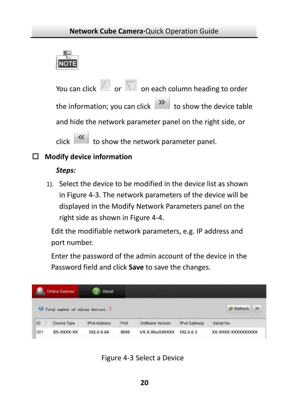

You can click  $\Box$  or  $\Box$  on each column heading to order the information; you can click letter to show the device table and hide the network parameter panel on the right side, or click  $\begin{bmatrix} 1 & 1 \\ 0 & 0 \end{bmatrix}$  to show the network parameter panel.

### **Modify device information**

#### *Steps:*

1). Select the device to be modified in the device list as shown in Figure 4‐3. The network parameters of the device will be displayed in the Modify Network Parameters panel on the right side as shown in Figure 4-4.

Edit the modifiable network parameters, e.g. IP address and port number.

Enter the password of the admin account of the device in the P assword field and click **Save** to save the changes.

|     | <b>Online Devices</b>             | About        |      |                  |              |                     |               |
|-----|-----------------------------------|--------------|------|------------------|--------------|---------------------|---------------|
|     | Total number of online devices: 1 |              |      |                  |              | @ Refresh           | $\mathcal{V}$ |
| ID  | Device Type                       | IPv4 Address | Port | Software Version | IPv4 Gateway | Serial No.          |               |
| 001 | DS-XXXX-XX                        | 192.0.0.64   | 8000 | VX.X.XbuildXXXX  | 192.0.0.1    | XX-XXXX-XXXXXXXXXXX |               |

Figure 4‐3 Select a Device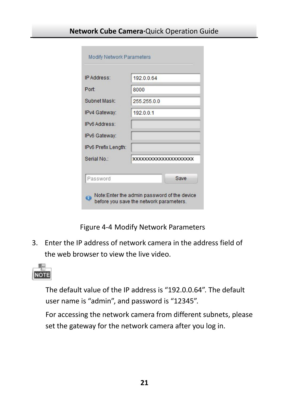| Port<br>Subnet Mask: | 8000<br>255 255 0.0          |
|----------------------|------------------------------|
|                      |                              |
|                      |                              |
| IPv4 Gateway:        | 192001                       |
| <b>IPv6 Address:</b> |                              |
| IPv6 Gateway:        |                              |
| IPv6 Prefix Length:  |                              |
| Serial No:           | <b>XXXXXXXXXXXXXXXXXXXXX</b> |

Figure 4‐4 Modify Network Parameters

3. Enter the IP address of network camera in the address field of the web browser to view the live video.



The default value of the IP address is "192.0.0.64". The default user name is "admin", and password is "12345".

For accessing the network camera from different subnets, please set the gateway for the network camera after you log in.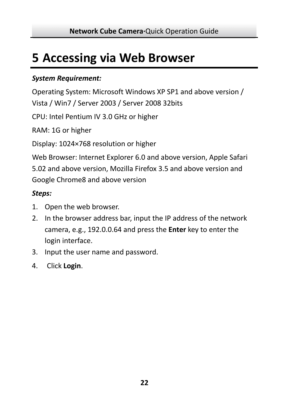# <span id="page-21-0"></span>**5 Accessing via Web Browser**

### *System Requirement:*

Operating System: Microsoft Windows XP SP1 and above version / Vista / Win7 / Server 2003 / Server 2008 32bits

CPU: Intel Pentium IV 3.0 GHz or higher

RAM: 1G or higher

Display: 1024×768 resolution or higher

Web Browser: Internet Explorer 6.0 and above version, Apple Safari 5.02 and above version, Mozilla Firefox 3.5 and above version and Google Chrome8 and above version

### *Steps:*

- 1. Open the web browser.
- 2. In the browser address bar, input the IP address of the network camera, e.g., 192.0.0.64 and press the **Enter** key to enter the login interface.
- 3. Input the user name and password.
- 4. Click **Login**.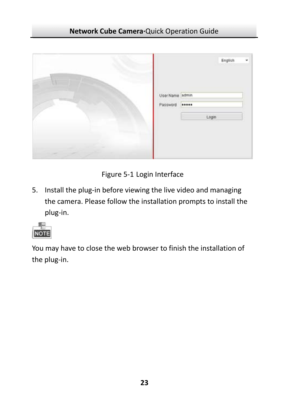|                                              | English |  |
|----------------------------------------------|---------|--|
| UserName <sup>Sadmin</sup><br>Password ----- |         |  |
|                                              | Login   |  |
|                                              |         |  |

Figure 5‐1 Login Interface

5. Install the plug-in before viewing the live video and managing the camera. Please follow the installation prompts to install the plug‐in.



You may have to close the web browser to finish the installation of the plug‐in.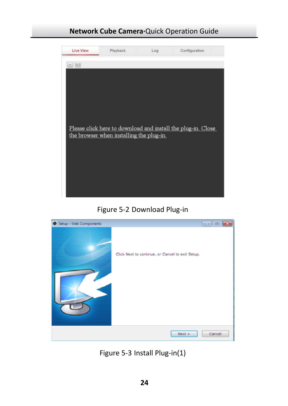

Figure 5‐2 Download Plug‐in



Figure 5‐3 Install Plug‐in(1)